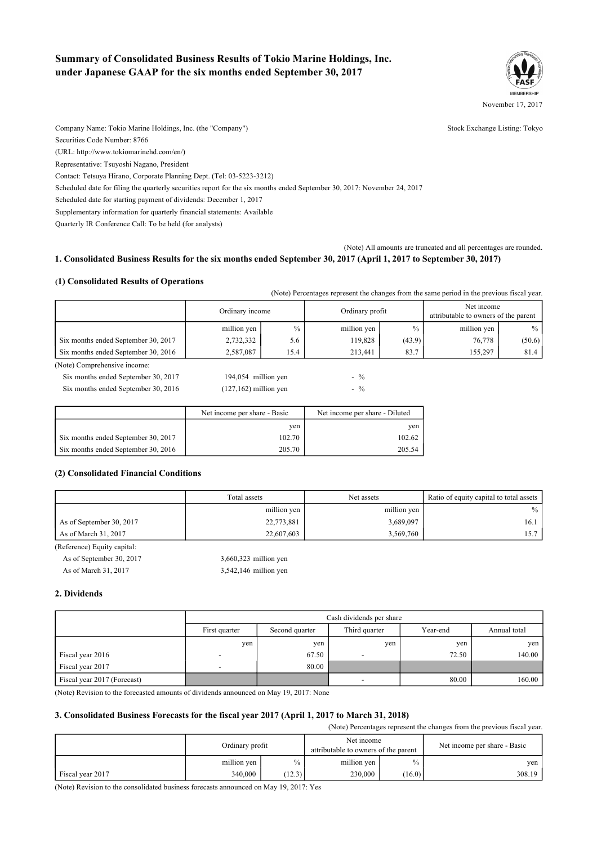# **Summary of Consolidated Business Results of Tokio Marine Holdings, Inc. under Japanese GAAP for the six months ended September 30, 2017**



Company Name: Tokio Marine Holdings, Inc. (the "Company") Stock Exchange Listing: Tokyo Securities Code Number: 8766 (URL: http://www.tokiomarinehd.com/en/) Representative: Tsuyoshi Nagano, President Contact: Tetsuya Hirano, Corporate Planning Dept. (Tel: 03-5223-3212) Scheduled date for filing the quarterly securities report for the six months ended September 30, 2017: November 24, 2017 Scheduled date for starting payment of dividends: December 1, 2017

Supplementary information for quarterly financial statements: Available

Quarterly IR Conference Call: To be held (for analysts)

#### (Note) All amounts are truncated and all percentages are rounded. 1. Consolidated Business Results for the six months ended September 30, 2017 (April 1, 2017 to September 30, 2017)

#### **(1) Consolidated Results of Operations**

|                                     |                              |               | (Note) Percentages represent the changes from the same period in the previous fiscal year. |                 |             |                                                    |
|-------------------------------------|------------------------------|---------------|--------------------------------------------------------------------------------------------|-----------------|-------------|----------------------------------------------------|
|                                     | Ordinary income              |               |                                                                                            | Ordinary profit |             | Net income<br>attributable to owners of the parent |
|                                     | million yen                  | $\frac{0}{0}$ | million yen                                                                                | $\frac{0}{0}$   | million yen | $\%$                                               |
| Six months ended September 30, 2017 | 2,732,332                    | 5.6           | 119,828                                                                                    | (43.9)          | 76,778      | (50.6)                                             |
| Six months ended September 30, 2016 | 2,587,087                    | 15.4          | 213,441                                                                                    | 83.7            | 155,297     | 81.4                                               |
| (Note) Comprehensive income:        |                              |               |                                                                                            |                 |             |                                                    |
| Six months ended September 30, 2017 | 194,054 million yen          |               | $-$ %                                                                                      |                 |             |                                                    |
| Six months ended September 30, 2016 | $(127, 162)$ million yen     |               | $-$ %                                                                                      |                 |             |                                                    |
|                                     |                              |               |                                                                                            |                 |             |                                                    |
|                                     | Net income per share - Basic |               | Net income per share - Diluted                                                             |                 |             |                                                    |
|                                     |                              | yen           |                                                                                            | yen             |             |                                                    |

#### **(2) Consolidated Financial Conditions**

|                          | Total assets | Net assets  | Ratio of equity capital to total assets |
|--------------------------|--------------|-------------|-----------------------------------------|
|                          | million yen  | million yen | $\%$                                    |
| As of September 30, 2017 | 22,773,881   | 3,689,097   | 16.1                                    |
| As of March 31, 2017     | 22,607,603   | 3,569,760   |                                         |

| (Reference) Equity capital: |                         |
|-----------------------------|-------------------------|
| As of September 30, 2017    | 3,660,323 million yen   |
| As of March 31, 2017        | $3,542,146$ million yen |

#### **2. Dividends**

|                             |                          | Cash dividends per share |                          |          |              |  |  |  |
|-----------------------------|--------------------------|--------------------------|--------------------------|----------|--------------|--|--|--|
|                             | First quarter            | Second quarter           | Third quarter            | Year-end | Annual total |  |  |  |
|                             | ven                      | yen                      | yen                      | yen      | yen          |  |  |  |
| Fiscal year 2016            |                          | 67.50                    |                          | 72.50    | 140.00       |  |  |  |
| Fiscal year 2017            | $\overline{\phantom{0}}$ | 80.00                    |                          |          |              |  |  |  |
| Fiscal year 2017 (Forecast) |                          |                          | $\overline{\phantom{0}}$ | 80.00    | 160.00       |  |  |  |

(Note) Revision to the forecasted amounts of dividends announced on May 19, 2017: None

### **3. Consolidated Business Forecasts for the fiscal year 2017 (April 1, 2017 to March 31, 2018)**

Six months ended September 30, 2017 102.70 102.70 102.70 102.62 Six months ended September 30, 2016 205.70 205.70 205.54

(Note) Percentages represent the changes from the previous fiscal year.

|                  | Ordinary profit |        | Net income<br>attributable to owners of the parent |               | Net income per share - Basic |  |
|------------------|-----------------|--------|----------------------------------------------------|---------------|------------------------------|--|
|                  | million yen     | $\%$   | million yen                                        | $\frac{0}{0}$ | yen                          |  |
| Fiscal year 2017 | 340,000         | (12.3) | 230,000                                            | (16.0)        | 308.19                       |  |

(Note) Revision to the consolidated business forecasts announced on May 19, 2017: Yes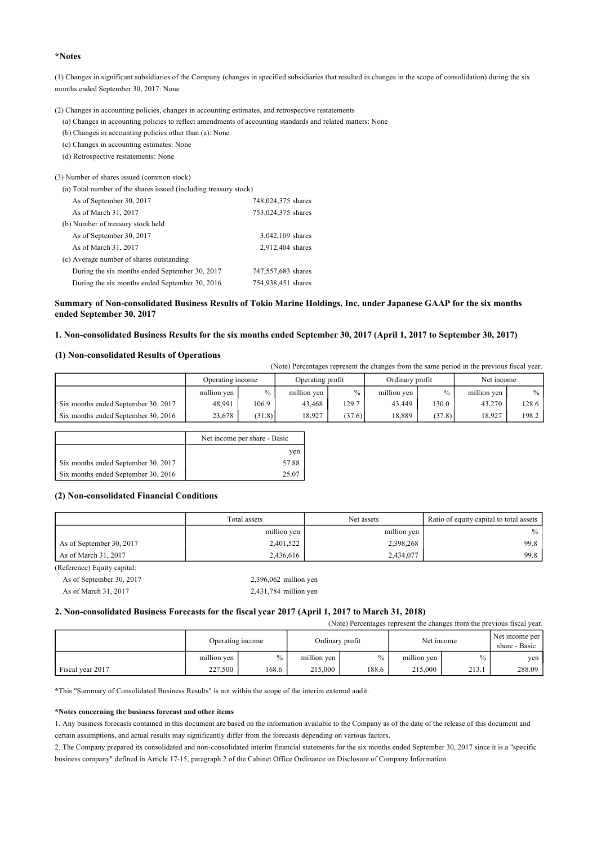#### **\*Notes**

(1) Changes in significant subsidiaries of the Company (changes in specified subsidiaries that resulted in changes in the scope of consolidation) during the six months ended September 30, 2017: None

(2) Changes in accounting policies, changes in accounting estimates, and retrospective restatements

(a) Changes in accounting policies to reflect amendments of accounting standards and related matters: None

(b) Changes in accounting policies other than (a): None

(c) Changes in accounting estimates: None

(d) Retrospective restatements: None

(3) Number of shares issued (common stock)

| (a) Total number of the shares issued (including treasury stock) |                    |  |  |  |  |  |
|------------------------------------------------------------------|--------------------|--|--|--|--|--|
| As of September 30, 2017                                         | 748,024,375 shares |  |  |  |  |  |
| As of March 31, 2017                                             | 753,024,375 shares |  |  |  |  |  |
| (b) Number of treasury stock held                                |                    |  |  |  |  |  |
| As of September 30, 2017                                         | 3,042,109 shares   |  |  |  |  |  |
| As of March 31, 2017                                             | 2,912,404 shares   |  |  |  |  |  |
| (c) Average number of shares outstanding                         |                    |  |  |  |  |  |
| During the six months ended September 30, 2017                   | 747,557,683 shares |  |  |  |  |  |
| During the six months ended September 30, 2016                   | 754,938,451 shares |  |  |  |  |  |
|                                                                  |                    |  |  |  |  |  |

#### Summary of Non-consolidated Business Results of Tokio Marine Holdings, Inc. under Japanese GAAP for the six months **ended September 30, 2017**

#### 1. Non-consolidated Business Results for the six months ended September 30, 2017 (April 1, 2017 to September 30, 2017)

#### **(1) Non-consolidated Results of Operations**

(Note) Percentages represent the changes from the same period in the previous fiscal year.

|                                     | Operating income |               | Operating profit |        | Ordinary profit |               | Net income  |       |
|-------------------------------------|------------------|---------------|------------------|--------|-----------------|---------------|-------------|-------|
|                                     | million yen      | $\frac{0}{0}$ | million ven      | $\%$   | million yen     | $\frac{0}{0}$ | million yen | $\%$  |
| Six months ended September 30, 2017 | 48.991           | 106.9         | 43.468           | 129.7  | 43.449          | 130.0         | 43.270      | 128.6 |
| Six months ended September 30, 2016 | 23,678           | (31.8)        | 18.927           | (37.6) | 18.889          | (37.8)        | 18.927      | 198.2 |

|                                     | Net income per share - Basic |
|-------------------------------------|------------------------------|
|                                     | ven                          |
| Six months ended September 30, 2017 | 57.88                        |
| Six months ended September 30, 2016 | 25.07                        |

#### **(2) Non-consolidated Financial Conditions**

|                          | Total assets | Net assets  | Ratio of equity capital to total assets |
|--------------------------|--------------|-------------|-----------------------------------------|
|                          | million yen  | million yen | $\%$                                    |
| As of September 30, 2017 | 2,401,522    | 2,398,268   | 99.8                                    |
| As of March 31, 2017     | 2,436,616    | 2,434,077   | 99.8                                    |

(Reference) Equity capital:

| As of September 30, 2017 | $2,396,062$ million yen |
|--------------------------|-------------------------|
| As of March 31, 2017     | $2,431,784$ million yen |

#### **2. Non-consolidated Business Forecasts for the fiscal year 2017 (April 1, 2017 to March 31, 2018)**

(Note) Percentages represent the changes from the previous fiscal year.

|                  | Operating income |       | Ordinary profit |       | Net income  |               | Net income per<br>share - Basic |
|------------------|------------------|-------|-----------------|-------|-------------|---------------|---------------------------------|
|                  | million yen      | $\%$  | million yen     | $\%$  | million yen | $\frac{0}{0}$ | yen                             |
| Fiscal year 2017 | 227.500          | 168.6 | 215,000         | 188.6 | 215,000     | 213.1         | 288.09                          |

**\***This "Summary of Consolidated Business Results" is not within the scope of the interim external audit.

#### **\*Notes concerning the business forecast and other items**

1. Any business forecasts contained in this document are based on the information available to the Company as of the date of the release of this document and certain assumptions, and actual results may significantly differ from the forecasts depending on various factors.

2. The Company prepared its consolidated and non-consolidated interim financial statements for the six months ended September 30, 2017 since it is a "specific business company" defined in Article 17-15, paragraph 2 of the Cabinet Office Ordinance on Disclosure of Company Information.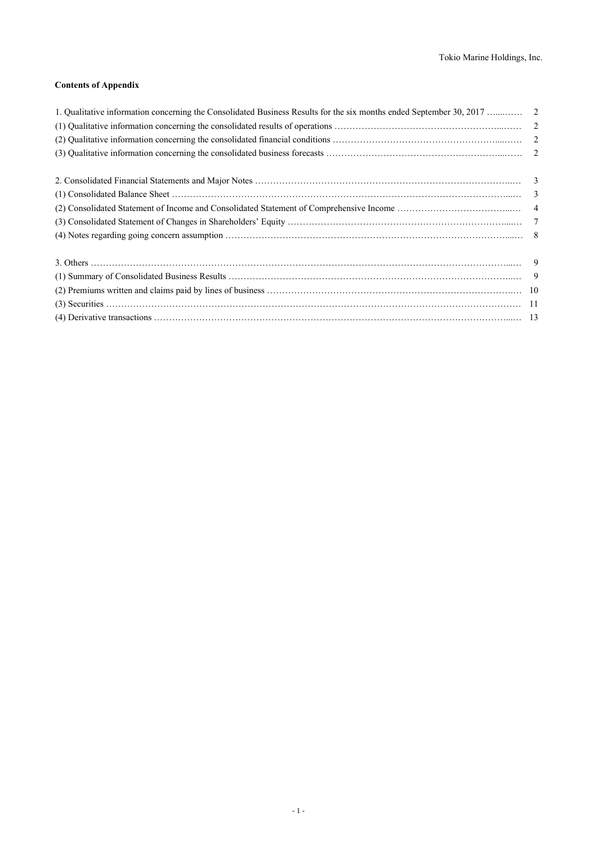### **Contents of Appendix**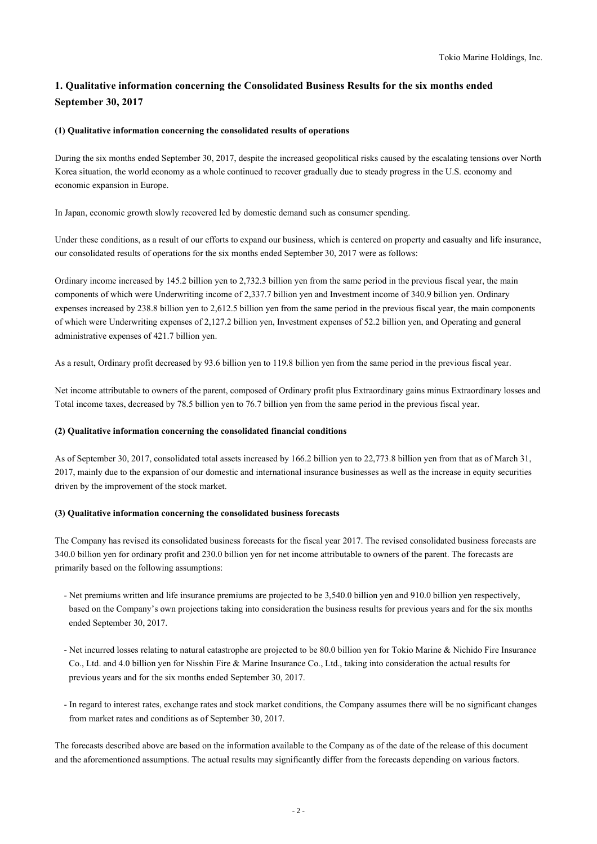# **1. Qualitative information concerning the Consolidated Business Results for the six months ended September 30, 2017**

### **(1) Qualitative information concerning the consolidated results of operations**

During the six months ended September 30, 2017, despite the increased geopolitical risks caused by the escalating tensions over North Korea situation, the world economy as a whole continued to recover gradually due to steady progress in the U.S. economy and economic expansion in Europe.

In Japan, economic growth slowly recovered led by domestic demand such as consumer spending.

Under these conditions, as a result of our efforts to expand our business, which is centered on property and casualty and life insurance, our consolidated results of operations for the six months ended September 30, 2017 were as follows:

Ordinary income increased by 145.2 billion yen to 2,732.3 billion yen from the same period in the previous fiscal year, the main components of which were Underwriting income of 2,337.7 billion yen and Investment income of 340.9 billion yen. Ordinary expenses increased by 238.8 billion yen to 2,612.5 billion yen from the same period in the previous fiscal year, the main components of which were Underwriting expenses of 2,127.2 billion yen, Investment expenses of 52.2 billion yen, and Operating and general administrative expenses of 421.7 billion yen.

As a result, Ordinary profit decreased by 93.6 billion yen to 119.8 billion yen from the same period in the previous fiscal year.

Net income attributable to owners of the parent, composed of Ordinary profit plus Extraordinary gains minus Extraordinary losses and Total income taxes, decreased by 78.5 billion yen to 76.7 billion yen from the same period in the previous fiscal year.

#### **(2) Qualitative information concerning the consolidated financial conditions**

As of September 30, 2017, consolidated total assets increased by 166.2 billion yen to 22,773.8 billion yen from that as of March 31, 2017, mainly due to the expansion of our domestic and international insurance businesses as well as the increase in equity securities driven by the improvement of the stock market.

#### **(3) Qualitative information concerning the consolidated business forecasts**

The Company has revised its consolidated business forecasts for the fiscal year 2017. The revised consolidated business forecasts are 340.0 billion yen for ordinary profit and 230.0 billion yen for net income attributable to owners of the parent. The forecasts are primarily based on the following assumptions:

- Net premiums written and life insurance premiums are projected to be 3,540.0 billion yen and 910.0 billion yen respectively, based on the Company's own projections taking into consideration the business results for previous years and for the six months ended September 30, 2017.
- Net incurred losses relating to natural catastrophe are projected to be 80.0 billion yen for Tokio Marine & Nichido Fire Insurance Co., Ltd. and 4.0 billion yen for Nisshin Fire & Marine Insurance Co., Ltd., taking into consideration the actual results for previous years and for the six months ended September 30, 2017.
- In regard to interest rates, exchange rates and stock market conditions, the Company assumes there will be no significant changes from market rates and conditions as of September 30, 2017.

The forecasts described above are based on the information available to the Company as of the date of the release of this document and the aforementioned assumptions. The actual results may significantly differ from the forecasts depending on various factors.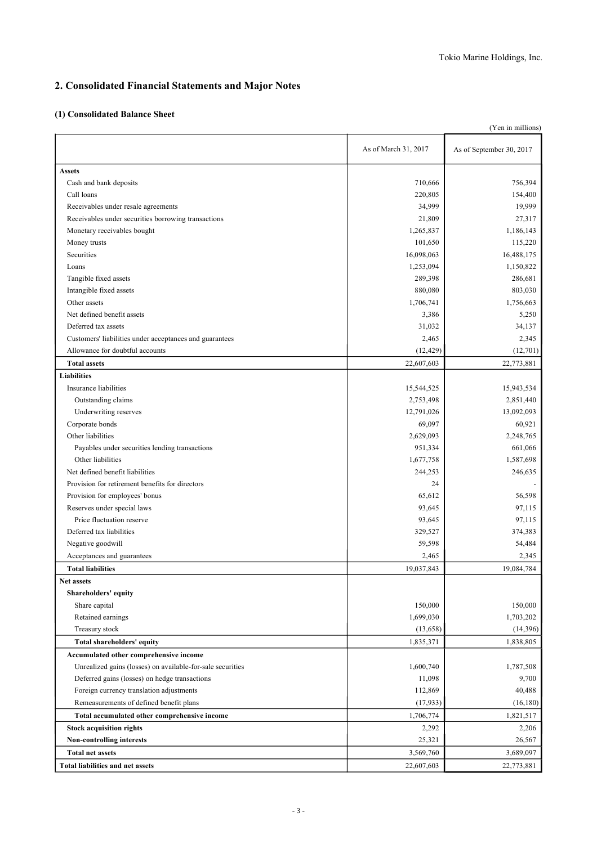# **2. Consolidated Financial Statements and Major Notes**

### **(1) Consolidated Balance Sheet**

| (Yen in millions)                                          |                      |                          |  |  |  |
|------------------------------------------------------------|----------------------|--------------------------|--|--|--|
|                                                            | As of March 31, 2017 | As of September 30, 2017 |  |  |  |
| <b>Assets</b>                                              |                      |                          |  |  |  |
| Cash and bank deposits                                     | 710,666              | 756,394                  |  |  |  |
| Call loans                                                 | 220,805              | 154,400                  |  |  |  |
| Receivables under resale agreements                        | 34,999               | 19,999                   |  |  |  |
| Receivables under securities borrowing transactions        | 21,809               | 27,317                   |  |  |  |
| Monetary receivables bought                                | 1,265,837            | 1,186,143                |  |  |  |
| Money trusts                                               | 101,650              | 115,220                  |  |  |  |
| Securities                                                 | 16,098,063           | 16,488,175               |  |  |  |
| Loans                                                      | 1,253,094            | 1,150,822                |  |  |  |
| Tangible fixed assets                                      | 289,398              | 286,681                  |  |  |  |
| Intangible fixed assets                                    | 880,080              | 803,030                  |  |  |  |
| Other assets                                               | 1,706,741            | 1,756,663                |  |  |  |
| Net defined benefit assets                                 | 3,386                | 5,250                    |  |  |  |
| Deferred tax assets                                        | 31,032               | 34,137                   |  |  |  |
| Customers' liabilities under acceptances and guarantees    | 2,465                | 2,345                    |  |  |  |
| Allowance for doubtful accounts                            | (12, 429)            | (12,701)                 |  |  |  |
| <b>Total assets</b>                                        | 22,607,603           | 22,773,881               |  |  |  |
| <b>Liabilities</b>                                         |                      |                          |  |  |  |
| Insurance liabilities                                      | 15,544,525           | 15,943,534               |  |  |  |
| Outstanding claims                                         | 2,753,498            | 2,851,440                |  |  |  |
| Underwriting reserves                                      | 12,791,026           | 13,092,093               |  |  |  |
| Corporate bonds                                            | 69,097               | 60,921                   |  |  |  |
| Other liabilities                                          | 2,629,093            | 2,248,765                |  |  |  |
| Payables under securities lending transactions             | 951,334              | 661,066                  |  |  |  |
| Other liabilities                                          | 1,677,758            | 1,587,698                |  |  |  |
| Net defined benefit liabilities                            | 244,253              | 246,635                  |  |  |  |
| Provision for retirement benefits for directors            | 24                   |                          |  |  |  |
| Provision for employees' bonus                             | 65,612               | 56,598                   |  |  |  |
| Reserves under special laws                                | 93,645               | 97,115                   |  |  |  |
| Price fluctuation reserve                                  | 93,645               | 97,115                   |  |  |  |
| Deferred tax liabilities                                   | 329,527              | 374,383                  |  |  |  |
| Negative goodwill                                          | 59,598               | 54,484                   |  |  |  |
| Acceptances and guarantees                                 | 2,465                | 2,345                    |  |  |  |
| <b>Total liabilities</b>                                   | 19,037,843           | 19,084,784               |  |  |  |
| Net assets                                                 |                      |                          |  |  |  |
| Shareholders' equity                                       |                      |                          |  |  |  |
| Share capital                                              | 150,000              | 150,000                  |  |  |  |
| Retained earnings                                          | 1,699,030            | 1,703,202                |  |  |  |
| Treasury stock                                             | (13,658)             | (14,396)                 |  |  |  |
| Total shareholders' equity                                 | 1,835,371            | 1,838,805                |  |  |  |
| Accumulated other comprehensive income                     |                      |                          |  |  |  |
| Unrealized gains (losses) on available-for-sale securities | 1,600,740            | 1,787,508                |  |  |  |
| Deferred gains (losses) on hedge transactions              | 11,098               | 9,700                    |  |  |  |
| Foreign currency translation adjustments                   | 112,869              | 40,488                   |  |  |  |
| Remeasurements of defined benefit plans                    | (17, 933)            | (16, 180)                |  |  |  |
| Total accumulated other comprehensive income               | 1,706,774            | 1,821,517                |  |  |  |
| <b>Stock acquisition rights</b>                            | 2,292                | 2,206                    |  |  |  |
| Non-controlling interests                                  | 25,321               | 26,567                   |  |  |  |
| <b>Total net assets</b>                                    | 3,569,760            | 3,689,097                |  |  |  |
| <b>Total liabilities and net assets</b>                    | 22,607,603           |                          |  |  |  |
|                                                            |                      | 22,773,881               |  |  |  |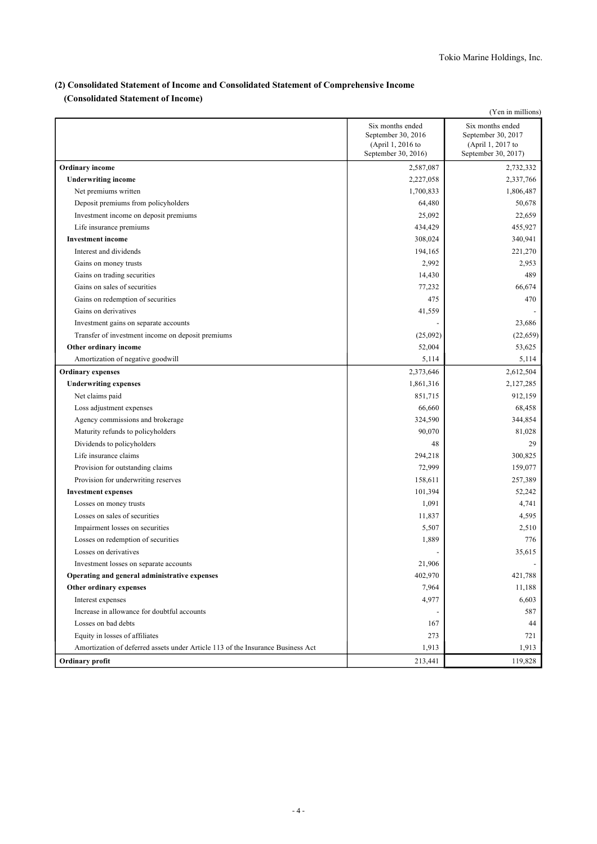### **(2) Consolidated Statement of Income and Consolidated Statement of Comprehensive Income**

**(Consolidated Statement of Income)**

|                                                                                 |                                                                                    | (Yen in millions)                                                                  |
|---------------------------------------------------------------------------------|------------------------------------------------------------------------------------|------------------------------------------------------------------------------------|
|                                                                                 | Six months ended<br>September 30, 2016<br>(April 1, 2016 to<br>September 30, 2016) | Six months ended<br>September 30, 2017<br>(April 1, 2017 to<br>September 30, 2017) |
| <b>Ordinary</b> income                                                          | 2,587,087                                                                          | 2,732,332                                                                          |
| <b>Underwriting income</b>                                                      | 2,227,058                                                                          | 2,337,766                                                                          |
| Net premiums written                                                            | 1,700,833                                                                          | 1,806,487                                                                          |
| Deposit premiums from policyholders                                             | 64,480                                                                             | 50,678                                                                             |
| Investment income on deposit premiums                                           | 25,092                                                                             | 22,659                                                                             |
| Life insurance premiums                                                         | 434,429                                                                            | 455,927                                                                            |
| <b>Investment</b> income                                                        | 308,024                                                                            | 340,941                                                                            |
| Interest and dividends                                                          | 194,165                                                                            | 221,270                                                                            |
| Gains on money trusts                                                           | 2,992                                                                              | 2,953                                                                              |
| Gains on trading securities                                                     | 14,430                                                                             | 489                                                                                |
| Gains on sales of securities                                                    | 77,232                                                                             | 66,674                                                                             |
| Gains on redemption of securities                                               | 475                                                                                | 470                                                                                |
| Gains on derivatives                                                            | 41,559                                                                             |                                                                                    |
| Investment gains on separate accounts                                           |                                                                                    | 23,686                                                                             |
| Transfer of investment income on deposit premiums                               | (25,092)                                                                           | (22, 659)                                                                          |
| Other ordinary income                                                           | 52,004                                                                             | 53,625                                                                             |
| Amortization of negative goodwill                                               | 5,114                                                                              | 5,114                                                                              |
| <b>Ordinary expenses</b>                                                        | 2,373,646                                                                          | 2,612,504                                                                          |
| <b>Underwriting expenses</b>                                                    | 1,861,316                                                                          | 2,127,285                                                                          |
| Net claims paid                                                                 | 851,715                                                                            | 912,159                                                                            |
| Loss adjustment expenses                                                        | 66,660                                                                             | 68,458                                                                             |
| Agency commissions and brokerage                                                | 324,590                                                                            | 344,854                                                                            |
| Maturity refunds to policyholders                                               | 90,070                                                                             | 81,028                                                                             |
| Dividends to policyholders                                                      | 48                                                                                 | 29                                                                                 |
| Life insurance claims                                                           | 294,218                                                                            | 300,825                                                                            |
| Provision for outstanding claims                                                | 72,999                                                                             | 159,077                                                                            |
| Provision for underwriting reserves                                             | 158,611                                                                            | 257,389                                                                            |
| <b>Investment expenses</b>                                                      | 101,394                                                                            | 52,242                                                                             |
| Losses on money trusts                                                          | 1,091                                                                              | 4,741                                                                              |
| Losses on sales of securities                                                   | 11,837                                                                             | 4,595                                                                              |
| Impairment losses on securities                                                 | 5,507                                                                              | 2,510                                                                              |
| Losses on redemption of securities                                              | 1,889                                                                              | 776                                                                                |
| Losses on derivatives                                                           |                                                                                    | 35,615                                                                             |
| Investment losses on separate accounts                                          | 21,906                                                                             |                                                                                    |
| Operating and general administrative expenses                                   | 402,970                                                                            | 421,788                                                                            |
| Other ordinary expenses                                                         | 7,964                                                                              | 11,188                                                                             |
| Interest expenses                                                               | 4,977                                                                              | 6,603                                                                              |
| Increase in allowance for doubtful accounts                                     |                                                                                    | 587                                                                                |
| Losses on bad debts                                                             | 167                                                                                | 44                                                                                 |
| Equity in losses of affiliates                                                  | 273                                                                                | 721                                                                                |
| Amortization of deferred assets under Article 113 of the Insurance Business Act | 1,913                                                                              | 1,913                                                                              |
| Ordinary profit                                                                 | 213,441                                                                            | 119,828                                                                            |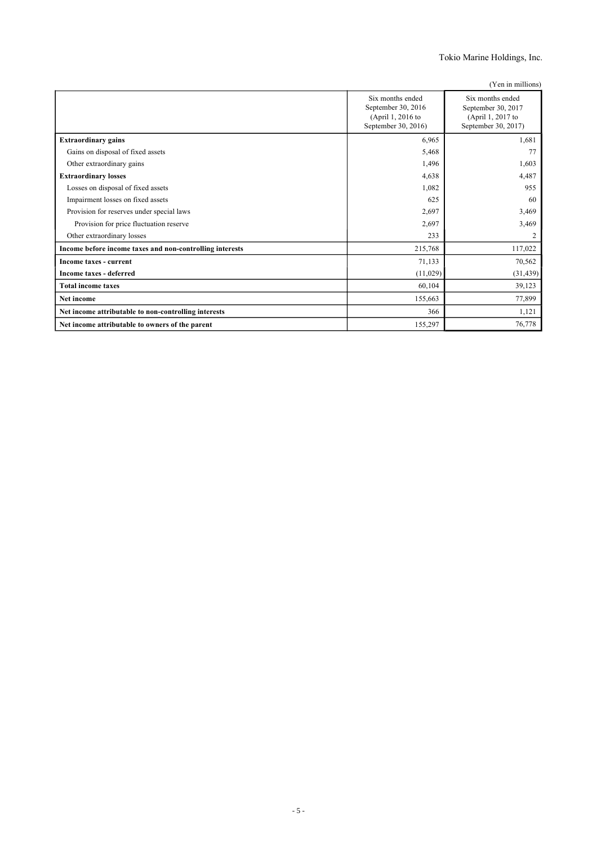Tokio Marine Holdings, Inc.

| (Yen in millions) |  |  |
|-------------------|--|--|
|                   |  |  |

|                                                          | Six months ended<br>September 30, 2016<br>(April 1, 2016 to<br>September 30, 2016) | Six months ended<br>September 30, 2017<br>(April 1, 2017 to<br>September 30, 2017) |
|----------------------------------------------------------|------------------------------------------------------------------------------------|------------------------------------------------------------------------------------|
| <b>Extraordinary gains</b>                               | 6,965                                                                              | 1,681                                                                              |
| Gains on disposal of fixed assets                        | 5,468                                                                              | 77                                                                                 |
| Other extraordinary gains                                | 1,496                                                                              | 1,603                                                                              |
| <b>Extraordinary losses</b>                              | 4,638                                                                              | 4,487                                                                              |
| Losses on disposal of fixed assets                       | 1,082                                                                              | 955                                                                                |
| Impairment losses on fixed assets                        | 625                                                                                | 60                                                                                 |
| Provision for reserves under special laws                | 2,697                                                                              | 3,469                                                                              |
| Provision for price fluctuation reserve                  | 2,697                                                                              | 3,469                                                                              |
| Other extraordinary losses                               | 233                                                                                | 2                                                                                  |
| Income before income taxes and non-controlling interests | 215,768                                                                            | 117,022                                                                            |
| Income taxes - current                                   | 71,133                                                                             | 70,562                                                                             |
| Income taxes - deferred                                  | (11,029)                                                                           | (31, 439)                                                                          |
| <b>Total income taxes</b>                                | 60,104                                                                             | 39,123                                                                             |
| Net income                                               | 155,663                                                                            | 77,899                                                                             |
| Net income attributable to non-controlling interests     | 366                                                                                | 1,121                                                                              |
| Net income attributable to owners of the parent          | 155,297                                                                            | 76,778                                                                             |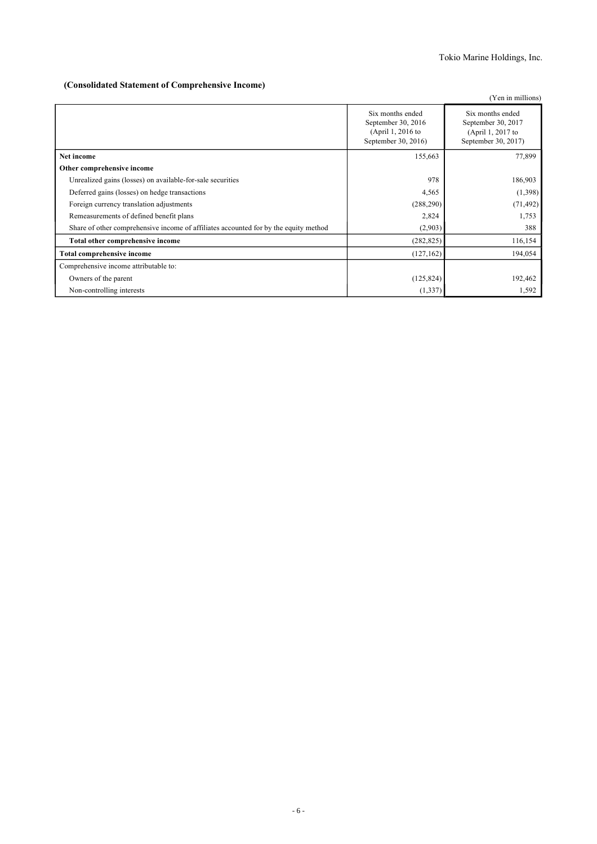### **(Consolidated Statement of Comprehensive Income)**

|                                                                                      |                                                                                    | (Yen in millions)                                                                  |
|--------------------------------------------------------------------------------------|------------------------------------------------------------------------------------|------------------------------------------------------------------------------------|
|                                                                                      | Six months ended<br>September 30, 2016<br>(April 1, 2016 to<br>September 30, 2016) | Six months ended<br>September 30, 2017<br>(April 1, 2017 to<br>September 30, 2017) |
| Net income                                                                           | 155,663                                                                            | 77,899                                                                             |
| Other comprehensive income                                                           |                                                                                    |                                                                                    |
| Unrealized gains (losses) on available-for-sale securities                           | 978                                                                                | 186,903                                                                            |
| Deferred gains (losses) on hedge transactions                                        | 4,565                                                                              | (1,398)                                                                            |
| Foreign currency translation adjustments                                             | (288, 290)                                                                         | (71, 492)                                                                          |
| Remeasurements of defined benefit plans                                              | 2,824                                                                              | 1,753                                                                              |
| Share of other comprehensive income of affiliates accounted for by the equity method | (2,903)                                                                            | 388                                                                                |
| Total other comprehensive income                                                     | (282, 825)                                                                         | 116,154                                                                            |
| <b>Total comprehensive income</b>                                                    | (127, 162)                                                                         | 194,054                                                                            |
| Comprehensive income attributable to:                                                |                                                                                    |                                                                                    |
| Owners of the parent                                                                 | (125, 824)                                                                         | 192,462                                                                            |
| Non-controlling interests                                                            | (1, 337)                                                                           | 1,592                                                                              |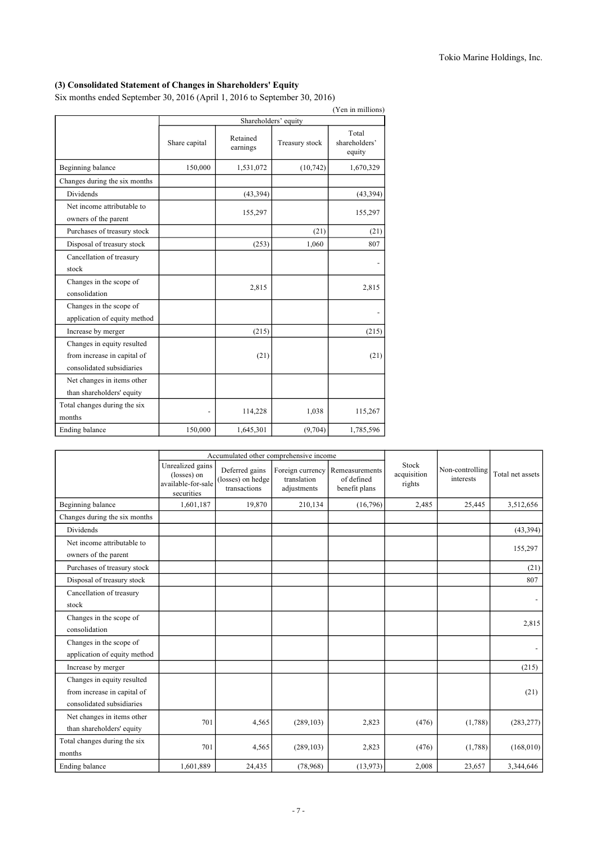# **(3) Consolidated Statement of Changes in Shareholders' Equity**

Six months ended September 30, 2016 (April 1, 2016 to September 30, 2016)

|                                                                                        |               |                      |                      | (Yen in millions)                |
|----------------------------------------------------------------------------------------|---------------|----------------------|----------------------|----------------------------------|
|                                                                                        |               |                      | Shareholders' equity |                                  |
|                                                                                        | Share capital | Retained<br>earnings | Treasury stock       | Total<br>shareholders'<br>equity |
| Beginning balance                                                                      | 150,000       | 1,531,072            | (10, 742)            | 1,670,329                        |
| Changes during the six months                                                          |               |                      |                      |                                  |
| <b>Dividends</b>                                                                       |               | (43, 394)            |                      | (43, 394)                        |
| Net income attributable to<br>owners of the parent                                     |               | 155,297              |                      | 155,297                          |
| Purchases of treasury stock                                                            |               |                      | (21)                 | (21)                             |
| Disposal of treasury stock                                                             |               | (253)                | 1,060                | 807                              |
| Cancellation of treasury<br>stock                                                      |               |                      |                      |                                  |
| Changes in the scope of<br>consolidation                                               |               | 2,815                |                      | 2,815                            |
| Changes in the scope of<br>application of equity method                                |               |                      |                      |                                  |
| Increase by merger                                                                     |               | (215)                |                      | (215)                            |
| Changes in equity resulted<br>from increase in capital of<br>consolidated subsidiaries |               | (21)                 |                      | (21)                             |
| Net changes in items other<br>than shareholders' equity                                |               |                      |                      |                                  |
| Total changes during the six<br>months                                                 |               | 114,228              | 1,038                | 115,267                          |
| Ending balance                                                                         | 150,000       | 1,645,301            | (9,704)              | 1,785,596                        |

|                                                                                        |                                                                     | Accumulated other comprehensive income              |                                                |                                               |                                |                              |                  |
|----------------------------------------------------------------------------------------|---------------------------------------------------------------------|-----------------------------------------------------|------------------------------------------------|-----------------------------------------------|--------------------------------|------------------------------|------------------|
|                                                                                        | Unrealized gains<br>(losses) on<br>available-for-sale<br>securities | Deferred gains<br>(losses) on hedge<br>transactions | Foreign currency<br>translation<br>adjustments | Remeasurements<br>of defined<br>benefit plans | Stock<br>acquisition<br>rights | Non-controlling<br>interests | Total net assets |
| Beginning balance                                                                      | 1,601,187                                                           | 19,870                                              | 210,134                                        | (16.796)                                      | 2,485                          | 25,445                       | 3,512,656        |
| Changes during the six months                                                          |                                                                     |                                                     |                                                |                                               |                                |                              |                  |
| <b>Dividends</b>                                                                       |                                                                     |                                                     |                                                |                                               |                                |                              | (43,394)         |
| Net income attributable to<br>owners of the parent                                     |                                                                     |                                                     |                                                |                                               |                                |                              | 155,297          |
| Purchases of treasury stock                                                            |                                                                     |                                                     |                                                |                                               |                                |                              | (21)             |
| Disposal of treasury stock                                                             |                                                                     |                                                     |                                                |                                               |                                |                              | 807              |
| Cancellation of treasury<br>stock                                                      |                                                                     |                                                     |                                                |                                               |                                |                              |                  |
| Changes in the scope of<br>consolidation                                               |                                                                     |                                                     |                                                |                                               |                                |                              | 2,815            |
| Changes in the scope of<br>application of equity method                                |                                                                     |                                                     |                                                |                                               |                                |                              |                  |
| Increase by merger                                                                     |                                                                     |                                                     |                                                |                                               |                                |                              | (215)            |
| Changes in equity resulted<br>from increase in capital of<br>consolidated subsidiaries |                                                                     |                                                     |                                                |                                               |                                |                              | (21)             |
| Net changes in items other<br>than shareholders' equity                                | 701                                                                 | 4,565                                               | (289, 103)                                     | 2,823                                         | (476)                          | (1,788)                      | (283, 277)       |
| Total changes during the six<br>months                                                 | 701                                                                 | 4,565                                               | (289, 103)                                     | 2,823                                         | (476)                          | (1,788)                      | (168,010)        |
| Ending balance                                                                         | 1,601,889                                                           | 24,435                                              | (78,968)                                       | (13,973)                                      | 2,008                          | 23,657                       | 3,344,646        |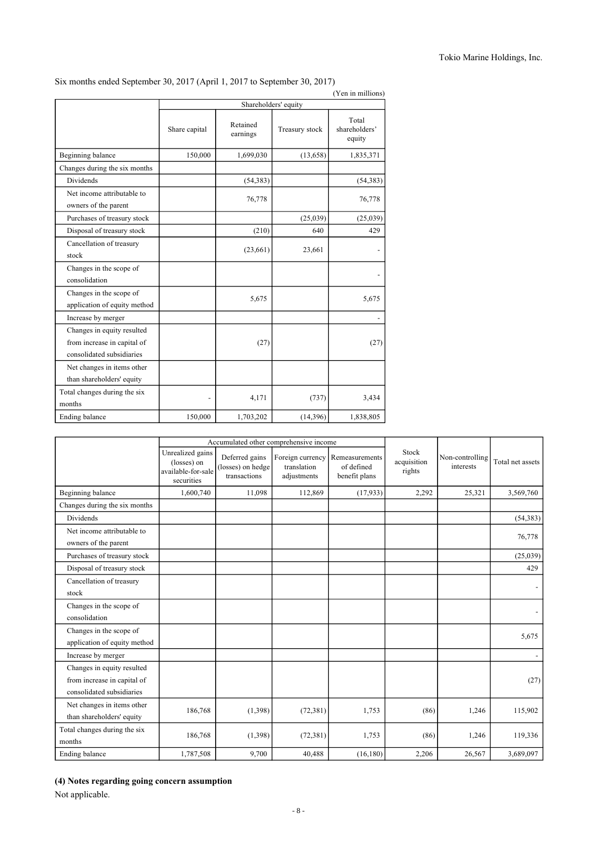|                                                                                        | $(1 \text{cm m min.})$<br>Shareholders' equity |                      |                |                                  |  |  |  |
|----------------------------------------------------------------------------------------|------------------------------------------------|----------------------|----------------|----------------------------------|--|--|--|
|                                                                                        | Share capital                                  | Retained<br>earnings | Treasury stock | Total<br>shareholders'<br>equity |  |  |  |
| Beginning balance                                                                      | 150,000                                        | 1,699,030            | (13,658)       | 1,835,371                        |  |  |  |
| Changes during the six months                                                          |                                                |                      |                |                                  |  |  |  |
| <b>Dividends</b>                                                                       |                                                | (54, 383)            |                | (54, 383)                        |  |  |  |
| Net income attributable to<br>owners of the parent                                     |                                                | 76,778               |                | 76,778                           |  |  |  |
| Purchases of treasury stock                                                            |                                                |                      | (25,039)       | (25,039)                         |  |  |  |
| Disposal of treasury stock                                                             |                                                | (210)                | 640            | 429                              |  |  |  |
| Cancellation of treasury<br>stock                                                      |                                                | (23,661)             | 23,661         |                                  |  |  |  |
| Changes in the scope of<br>consolidation                                               |                                                |                      |                |                                  |  |  |  |
| Changes in the scope of<br>application of equity method                                |                                                | 5,675                |                | 5,675                            |  |  |  |
| Increase by merger                                                                     |                                                |                      |                |                                  |  |  |  |
| Changes in equity resulted<br>from increase in capital of<br>consolidated subsidiaries |                                                | (27)                 |                | (27)                             |  |  |  |
| Net changes in items other<br>than shareholders' equity                                |                                                |                      |                |                                  |  |  |  |
| Total changes during the six<br>months                                                 |                                                | 4,171                | (737)          | 3,434                            |  |  |  |
| Ending balance                                                                         | 150,000                                        | 1,703,202            | (14,396)       | 1,838,805                        |  |  |  |

# Six months ended September 30, 2017 (April 1, 2017 to September 30, 2017)

# (Yen in millions)

|                                                                                        |                                                                     |                                                     | Accumulated other comprehensive income         |                                               |                                |                              |                  |  |
|----------------------------------------------------------------------------------------|---------------------------------------------------------------------|-----------------------------------------------------|------------------------------------------------|-----------------------------------------------|--------------------------------|------------------------------|------------------|--|
|                                                                                        | Unrealized gains<br>(losses) on<br>available-for-sale<br>securities | Deferred gains<br>(losses) on hedge<br>transactions | Foreign currency<br>translation<br>adjustments | Remeasurements<br>of defined<br>benefit plans | Stock<br>acquisition<br>rights | Non-controlling<br>interests | Total net assets |  |
| Beginning balance                                                                      | 1,600,740                                                           | 11,098                                              | 112,869                                        | (17,933)                                      | 2,292                          | 25,321                       | 3,569,760        |  |
| Changes during the six months                                                          |                                                                     |                                                     |                                                |                                               |                                |                              |                  |  |
| Dividends                                                                              |                                                                     |                                                     |                                                |                                               |                                |                              | (54, 383)        |  |
| Net income attributable to<br>owners of the parent                                     |                                                                     |                                                     |                                                |                                               |                                |                              | 76,778           |  |
| Purchases of treasury stock                                                            |                                                                     |                                                     |                                                |                                               |                                |                              | (25,039)         |  |
| Disposal of treasury stock                                                             |                                                                     |                                                     |                                                |                                               |                                |                              | 429              |  |
| Cancellation of treasury<br>stock                                                      |                                                                     |                                                     |                                                |                                               |                                |                              |                  |  |
| Changes in the scope of<br>consolidation                                               |                                                                     |                                                     |                                                |                                               |                                |                              |                  |  |
| Changes in the scope of<br>application of equity method                                |                                                                     |                                                     |                                                |                                               |                                |                              | 5,675            |  |
| Increase by merger                                                                     |                                                                     |                                                     |                                                |                                               |                                |                              |                  |  |
| Changes in equity resulted<br>from increase in capital of<br>consolidated subsidiaries |                                                                     |                                                     |                                                |                                               |                                |                              | (27)             |  |
| Net changes in items other<br>than shareholders' equity                                | 186,768                                                             | (1,398)                                             | (72, 381)                                      | 1,753                                         | (86)                           | 1,246                        | 115,902          |  |
| Total changes during the six<br>months                                                 | 186,768                                                             | (1,398)                                             | (72, 381)                                      | 1,753                                         | (86)                           | 1,246                        | 119,336          |  |
| Ending balance                                                                         | 1,787,508                                                           | 9,700                                               | 40.488                                         | (16, 180)                                     | 2,206                          | 26,567                       | 3,689,097        |  |

### **(4) Notes regarding going concern assumption**

Not applicable.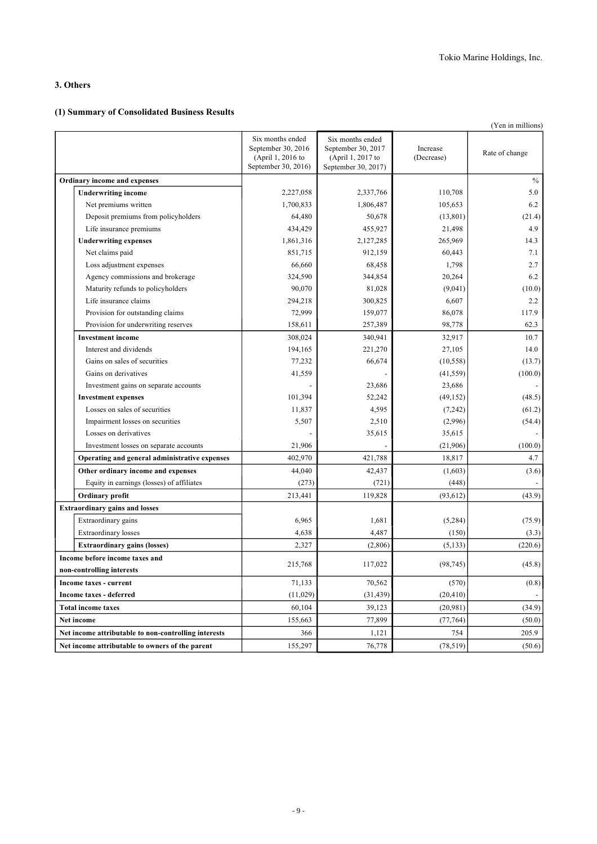### **3. Others**

### **(1) Summary of Consolidated Business Results**

|                                                      |                                                                                    |                                                                                    |                        | (Yen in millions) |
|------------------------------------------------------|------------------------------------------------------------------------------------|------------------------------------------------------------------------------------|------------------------|-------------------|
|                                                      | Six months ended<br>September 30, 2016<br>(April 1, 2016 to<br>September 30, 2016) | Six months ended<br>September 30, 2017<br>(April 1, 2017 to<br>September 30, 2017) | Increase<br>(Decrease) | Rate of change    |
| Ordinary income and expenses                         |                                                                                    |                                                                                    |                        | $\%$              |
| <b>Underwriting income</b>                           | 2,227,058                                                                          | 2,337,766                                                                          | 110,708                | 5.0               |
| Net premiums written                                 | 1,700,833                                                                          | 1,806,487                                                                          | 105,653                | 6.2               |
| Deposit premiums from policyholders                  | 64,480                                                                             | 50,678                                                                             | (13, 801)              | (21.4)            |
| Life insurance premiums                              | 434,429                                                                            | 455,927                                                                            | 21,498                 | 4.9               |
| <b>Underwriting expenses</b>                         | 1,861,316                                                                          | 2,127,285                                                                          | 265,969                | 14.3              |
| Net claims paid                                      | 851,715                                                                            | 912,159                                                                            | 60,443                 | 7.1               |
| Loss adjustment expenses                             | 66,660                                                                             | 68,458                                                                             | 1,798                  | 2.7               |
| Agency commissions and brokerage                     | 324,590                                                                            | 344,854                                                                            | 20,264                 | 6.2               |
| Maturity refunds to policyholders                    | 90,070                                                                             | 81,028                                                                             | (9,041)                | (10.0)            |
| Life insurance claims                                | 294,218                                                                            | 300,825                                                                            | 6,607                  | 2.2               |
| Provision for outstanding claims                     | 72,999                                                                             | 159,077                                                                            | 86,078                 | 117.9             |
| Provision for underwriting reserves                  | 158,611                                                                            | 257,389                                                                            | 98,778                 | 62.3              |
| <b>Investment income</b>                             | 308,024                                                                            | 340,941                                                                            | 32,917                 | 10.7              |
| Interest and dividends                               | 194,165                                                                            | 221,270                                                                            | 27,105                 | 14.0              |
| Gains on sales of securities                         | 77,232                                                                             | 66,674                                                                             | (10, 558)              | (13.7)            |
| Gains on derivatives                                 | 41,559                                                                             |                                                                                    | (41, 559)              | (100.0)           |
| Investment gains on separate accounts                |                                                                                    | 23,686                                                                             | 23,686                 |                   |
| <b>Investment expenses</b>                           | 101,394                                                                            | 52,242                                                                             | (49, 152)              | (48.5)            |
| Losses on sales of securities                        | 11,837                                                                             | 4,595                                                                              | (7,242)                | (61.2)            |
| Impairment losses on securities                      | 5,507                                                                              | 2,510                                                                              | (2,996)                | (54.4)            |
| Losses on derivatives                                |                                                                                    | 35,615                                                                             | 35,615                 |                   |
| Investment losses on separate accounts               | 21,906                                                                             |                                                                                    | (21,906)               | (100.0)           |
| Operating and general administrative expenses        | 402,970                                                                            | 421,788                                                                            | 18,817                 | 4.7               |
| Other ordinary income and expenses                   | 44,040                                                                             | 42,437                                                                             | (1,603)                | (3.6)             |
| Equity in earnings (losses) of affiliates            | (273)                                                                              | (721)                                                                              | (448)                  |                   |
| Ordinary profit                                      | 213,441                                                                            | 119,828                                                                            | (93, 612)              | (43.9)            |
| <b>Extraordinary gains and losses</b>                |                                                                                    |                                                                                    |                        |                   |
| Extraordinary gains                                  | 6,965                                                                              | 1,681                                                                              | (5,284)                | (75.9)            |
| Extraordinary losses                                 | 4,638                                                                              | 4,487                                                                              | (150)                  | (3.3)             |
| <b>Extraordinary gains (losses)</b>                  | 2,327                                                                              | (2,806)                                                                            | (5, 133)               | (220.6)           |
| Income before income taxes and                       |                                                                                    |                                                                                    |                        |                   |
| non-controlling interests                            | 215,768                                                                            | 117,022                                                                            | (98, 745)              | (45.8)            |
| Income taxes - current                               | 71,133                                                                             | 70,562                                                                             | (570)                  | (0.8)             |
| Income taxes - deferred                              | (11, 029)                                                                          | (31, 439)                                                                          | (20, 410)              |                   |
| <b>Total income taxes</b>                            | 60,104                                                                             | 39,123                                                                             | (20,981)               | (34.9)            |
| Net income                                           | 155,663                                                                            | 77,899                                                                             | (77, 764)              | (50.0)            |
| Net income attributable to non-controlling interests | 366                                                                                | 1,121                                                                              | 754                    | 205.9             |
| Net income attributable to owners of the parent      | 155,297                                                                            | 76,778                                                                             | (78, 519)              | (50.6)            |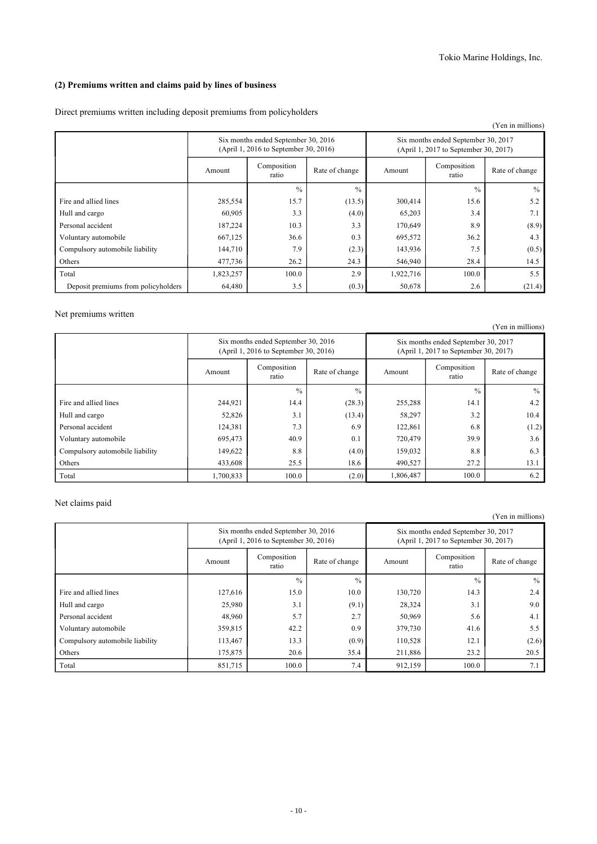### **(2) Premiums written and claims paid by lines of business**

Direct premiums written including deposit premiums from policyholders

| (Yen in millions)                   |           |                                                                              |               |           |                                                                              |                |  |
|-------------------------------------|-----------|------------------------------------------------------------------------------|---------------|-----------|------------------------------------------------------------------------------|----------------|--|
|                                     |           | Six months ended September 30, 2016<br>(April 1, 2016 to September 30, 2016) |               |           | Six months ended September 30, 2017<br>(April 1, 2017 to September 30, 2017) |                |  |
|                                     | Amount    | Composition<br>Rate of change<br>ratio                                       |               |           | Composition<br>ratio                                                         | Rate of change |  |
|                                     |           | $\frac{0}{0}$                                                                | $\frac{0}{0}$ |           | $\frac{0}{0}$                                                                | $\%$           |  |
| Fire and allied lines               | 285,554   | 15.7                                                                         | (13.5)        | 300,414   | 15.6                                                                         | 5.2            |  |
| Hull and cargo                      | 60,905    | 3.3                                                                          | (4.0)         | 65,203    | 3.4                                                                          | 7.1            |  |
| Personal accident                   | 187,224   | 10.3                                                                         | 3.3           | 170,649   | 8.9                                                                          | (8.9)          |  |
| Voluntary automobile                | 667,125   | 36.6                                                                         | 0.3           | 695,572   | 36.2                                                                         | 4.3            |  |
| Compulsory automobile liability     | 144,710   | 7.9                                                                          | (2.3)         | 143,936   | 7.5                                                                          | (0.5)          |  |
| Others                              | 477,736   | 26.2                                                                         | 24.3          | 546,940   | 28.4                                                                         | 14.5           |  |
| Total                               | 1,823,257 | 100.0                                                                        | 2.9           | 1,922,716 | 100.0                                                                        | 5.5            |  |
| Deposit premiums from policyholders | 64,480    | 3.5                                                                          | (0.3)         | 50,678    | 2.6                                                                          | (21.4)         |  |

### Net premiums written

|                                 |           |                                                                              |               |           |                                                                              | (Yen in millions) |
|---------------------------------|-----------|------------------------------------------------------------------------------|---------------|-----------|------------------------------------------------------------------------------|-------------------|
|                                 |           | Six months ended September 30, 2016<br>(April 1, 2016 to September 30, 2016) |               |           | Six months ended September 30, 2017<br>(April 1, 2017 to September 30, 2017) |                   |
|                                 | Amount    | Composition<br>Rate of change<br>ratio                                       |               |           | Composition<br>ratio                                                         | Rate of change    |
|                                 |           | $\frac{0}{0}$                                                                | $\frac{0}{0}$ |           | $\frac{0}{0}$                                                                | $\frac{0}{0}$     |
| Fire and allied lines           | 244,921   | 14.4                                                                         | (28.3)        | 255,288   | 14.1                                                                         | 4.2               |
| Hull and cargo                  | 52,826    | 3.1                                                                          | (13.4)        | 58,297    | 3.2                                                                          | 10.4              |
| Personal accident               | 124,381   | 7.3                                                                          | 6.9           | 122,861   | 6.8                                                                          | (1.2)             |
| Voluntary automobile            | 695,473   | 40.9                                                                         | 0.1           | 720,479   | 39.9                                                                         | 3.6               |
| Compulsory automobile liability | 149,622   | 8.8                                                                          | (4.0)         | 159,032   | 8.8                                                                          | 6.3               |
| Others                          | 433,608   | 25.5                                                                         | 18.6          | 490,527   | 27.2                                                                         | 13.1              |
| Total                           | 1,700,833 | 100.0                                                                        | (2.0)         | 1,806,487 | 100.0                                                                        | 6.2               |

### Net claims paid

(Yen in millions)

|                                 |         | Six months ended September 30, 2016<br>(April 1, 2016 to September 30, 2016) |                | Six months ended September 30, 2017<br>(April 1, 2017 to September 30, 2017) |                      |                |  |
|---------------------------------|---------|------------------------------------------------------------------------------|----------------|------------------------------------------------------------------------------|----------------------|----------------|--|
|                                 | Amount  | Composition<br>ratio                                                         | Rate of change | Amount                                                                       | Composition<br>ratio | Rate of change |  |
|                                 |         | $\frac{0}{0}$                                                                | $\frac{0}{0}$  |                                                                              | $\frac{0}{0}$        | $\frac{0}{0}$  |  |
| Fire and allied lines           | 127,616 | 15.0                                                                         | 10.0           | 130,720                                                                      | 14.3                 | 2.4            |  |
| Hull and cargo                  | 25,980  | 3.1                                                                          | (9.1)          | 28,324                                                                       | 3.1                  | 9.0            |  |
| Personal accident               | 48,960  | 5.7                                                                          | 2.7            | 50,969                                                                       | 5.6                  | 4.1            |  |
| Voluntary automobile            | 359,815 | 42.2                                                                         | 0.9            | 379,730                                                                      | 41.6                 | 5.5            |  |
| Compulsory automobile liability | 113,467 | 13.3                                                                         | (0.9)          | 110,528                                                                      | 12.1                 | (2.6)          |  |
| Others                          | 175,875 | 20.6                                                                         | 35.4           | 211,886                                                                      | 23.2                 | 20.5           |  |
| Total                           | 851,715 | 100.0                                                                        | 7.4            | 912,159                                                                      | 100.0                | 7.1            |  |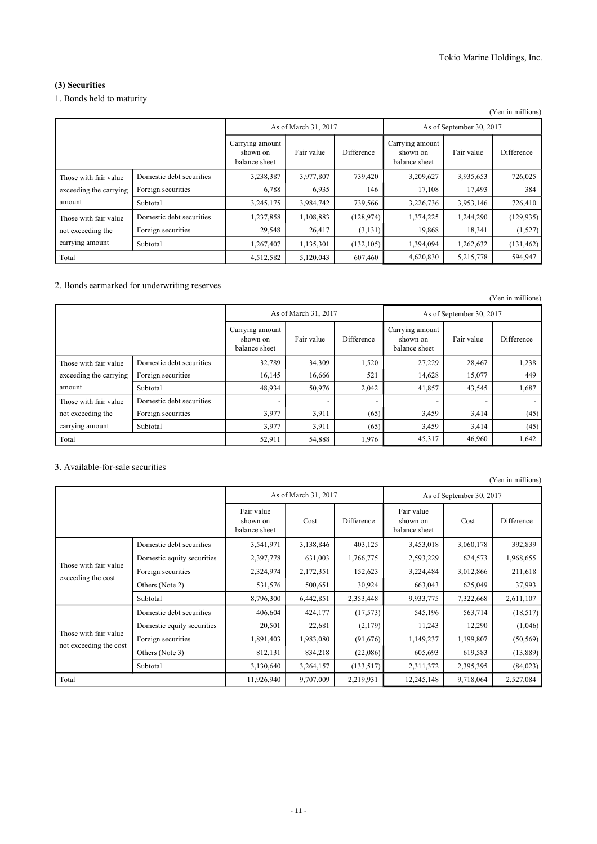# **(3) Securities**

### 1. Bonds held to maturity

|                                                               |                          |                                              |            |                          |                                              |            | (Yen in millions) |
|---------------------------------------------------------------|--------------------------|----------------------------------------------|------------|--------------------------|----------------------------------------------|------------|-------------------|
|                                                               |                          | As of March 31, 2017                         |            | As of September 30, 2017 |                                              |            |                   |
|                                                               |                          | Carrying amount<br>shown on<br>balance sheet | Fair value | Difference               | Carrying amount<br>shown on<br>balance sheet | Fair value | Difference        |
| Those with fair value<br>exceeding the carrying<br>amount     | Domestic debt securities | 3,238,387                                    | 3,977,807  | 739,420                  | 3,209,627                                    | 3,935,653  | 726,025           |
|                                                               | Foreign securities       | 6,788                                        | 6,935      | 146                      | 17,108                                       | 17,493     | 384               |
|                                                               | Subtotal                 | 3,245,175                                    | 3,984,742  | 739,566                  | 3,226,736                                    | 3,953,146  | 726,410           |
| Those with fair value<br>not exceeding the<br>carrying amount | Domestic debt securities | 1,237,858                                    | 1,108,883  | (128, 974)               | 1,374,225                                    | 1,244,290  | (129, 935)        |
|                                                               | Foreign securities       | 29,548                                       | 26,417     | (3, 131)                 | 19,868                                       | 18,341     | (1,527)           |
|                                                               | Subtotal                 | 1,267,407                                    | 1,135,301  | (132, 105)               | 1,394,094                                    | 1,262,632  | (131, 462)        |
| Total                                                         |                          | 4,512,582                                    | 5,120,043  | 607,460                  | 4,620,830                                    | 5,215,778  | 594,947           |

### 2. Bonds earmarked for underwriting reserves

|                                                           |                          |                                              |                      |            |                                              |            | (Yen in millions) |  |
|-----------------------------------------------------------|--------------------------|----------------------------------------------|----------------------|------------|----------------------------------------------|------------|-------------------|--|
|                                                           |                          |                                              | As of March 31, 2017 |            | As of September 30, 2017                     |            |                   |  |
|                                                           |                          | Carrying amount<br>shown on<br>balance sheet | Fair value           | Difference | Carrying amount<br>shown on<br>balance sheet | Fair value | Difference        |  |
| Those with fair value<br>exceeding the carrying<br>amount | Domestic debt securities | 32,789                                       | 34,309               | 1,520      | 27,229                                       | 28,467     | 1,238             |  |
|                                                           | Foreign securities       | 16,145                                       | 16,666               | 521        | 14,628                                       | 15,077     | 449               |  |
|                                                           | Subtotal                 | 48,934                                       | 50,976               | 2,042      | 41,857                                       | 43,545     | 1,687             |  |
| Those with fair value                                     | Domestic debt securities |                                              |                      |            |                                              |            |                   |  |
| not exceeding the                                         | Foreign securities       | 3,977                                        | 3,911                | (65)       | 3,459                                        | 3,414      | (45)              |  |
| carrying amount                                           | Subtotal                 | 3,977                                        | 3,911                | (65)       | 3,459                                        | 3,414      | (45)              |  |
| Total                                                     |                          | 52,911                                       | 54,888               | 1,976      | 45,317                                       | 46,960     | 1,642             |  |

### 3. Available-for-sale securities

| (Yen in millions)                               |                            |                                         |                      |            |                                         |           |            |  |  |
|-------------------------------------------------|----------------------------|-----------------------------------------|----------------------|------------|-----------------------------------------|-----------|------------|--|--|
|                                                 |                            |                                         | As of March 31, 2017 |            | As of September 30, 2017                |           |            |  |  |
|                                                 |                            | Fair value<br>shown on<br>balance sheet | Cost                 | Difference | Fair value<br>shown on<br>balance sheet | Cost      | Difference |  |  |
|                                                 | Domestic debt securities   | 3,541,971                               | 3,138,846            | 403,125    | 3,453,018                               | 3,060,178 | 392,839    |  |  |
|                                                 | Domestic equity securities | 2,397,778                               | 631,003              | 1,766,775  | 2,593,229                               | 624,573   | 1,968,655  |  |  |
| Those with fair value<br>exceeding the cost     | Foreign securities         | 2,324,974                               | 2,172,351            | 152,623    | 3,224,484                               | 3,012,866 | 211,618    |  |  |
|                                                 | Others (Note 2)            | 531,576                                 | 500,651              | 30,924     | 663,043                                 | 625,049   | 37,993     |  |  |
|                                                 | Subtotal                   | 8,796,300                               | 6,442,851            | 2,353,448  | 9,933,775                               | 7,322,668 | 2,611,107  |  |  |
|                                                 | Domestic debt securities   | 406,604                                 | 424,177              | (17, 573)  | 545,196                                 | 563,714   | (18, 517)  |  |  |
|                                                 | Domestic equity securities | 20,501                                  | 22,681               | (2,179)    | 11,243                                  | 12,290    | (1,046)    |  |  |
| Those with fair value<br>not exceeding the cost | Foreign securities         | 1,891,403                               | 1,983,080            | (91,676)   | 1,149,237                               | 1,199,807 | (50, 569)  |  |  |
|                                                 | Others (Note 3)            | 812,131                                 | 834,218              | (22,086)   | 605,693                                 | 619,583   | (13,889)   |  |  |
|                                                 | Subtotal                   | 3,130,640                               | 3,264,157            | (133, 517) | 2,311,372                               | 2,395,395 | (84, 023)  |  |  |
| Total                                           |                            | 11,926,940                              | 9,707,009            | 2,219,931  | 12,245,148                              | 9,718,064 | 2,527,084  |  |  |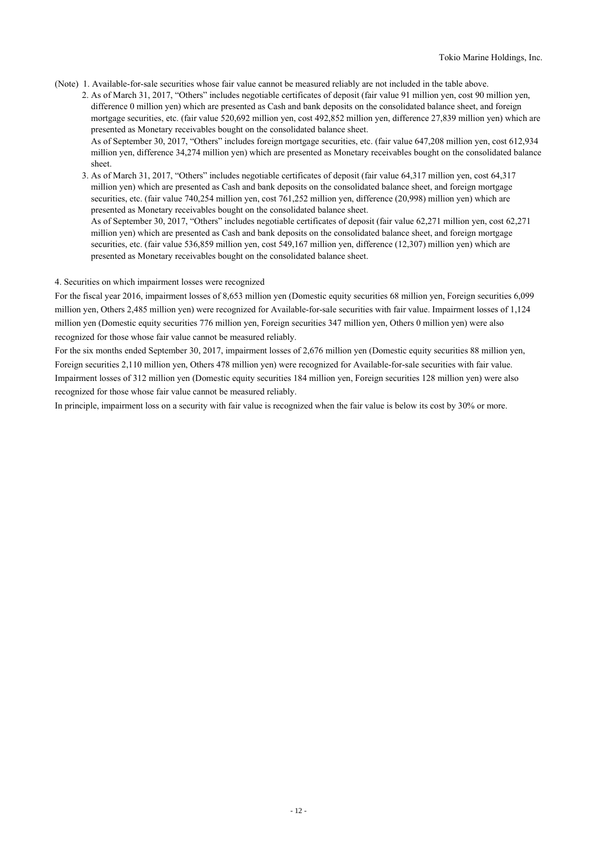- (Note) 1. Available-for-sale securities whose fair value cannot be measured reliably are not included in the table above.
	- 2. As of March 31, 2017, "Others" includes negotiable certificates of deposit (fair value 91 million yen, cost 90 million yen, difference 0 million yen) which are presented as Cash and bank deposits on the consolidated balance sheet, and foreign mortgage securities, etc. (fair value 520,692 million yen, cost 492,852 million yen, difference 27,839 million yen) which are presented as Monetary receivables bought on the consolidated balance sheet. As of September 30, 2017, "Others" includes foreign mortgage securities, etc. (fair value 647,208 million yen, cost 612,934 million yen, difference 34,274 million yen) which are presented as Monetary receivables bought on the consolidated balance sheet.
	- 3. As of March 31, 2017, "Others" includes negotiable certificates of deposit (fair value 64,317 million yen, cost 64,317 million yen) which are presented as Cash and bank deposits on the consolidated balance sheet, and foreign mortgage securities, etc. (fair value 740,254 million yen, cost 761,252 million yen, difference (20,998) million yen) which are presented as Monetary receivables bought on the consolidated balance sheet. As of September 30, 2017, "Others" includes negotiable certificates of deposit (fair value 62,271 million yen, cost 62,271 million yen) which are presented as Cash and bank deposits on the consolidated balance sheet, and foreign mortgage securities, etc. (fair value 536,859 million yen, cost 549,167 million yen, difference (12,307) million yen) which are presented as Monetary receivables bought on the consolidated balance sheet.

#### 4. Securities on which impairment losses were recognized

For the fiscal year 2016, impairment losses of 8,653 million yen (Domestic equity securities 68 million yen, Foreign securities 6,099 million yen, Others 2,485 million yen) were recognized for Available-for-sale securities with fair value. Impairment losses of 1,124 million yen (Domestic equity securities 776 million yen, Foreign securities 347 million yen, Others 0 million yen) were also recognized for those whose fair value cannot be measured reliably.

For the six months ended September 30, 2017, impairment losses of 2,676 million yen (Domestic equity securities 88 million yen, Foreign securities 2,110 million yen, Others 478 million yen) were recognized for Available-for-sale securities with fair value. Impairment losses of 312 million yen (Domestic equity securities 184 million yen, Foreign securities 128 million yen) were also recognized for those whose fair value cannot be measured reliably.

In principle, impairment loss on a security with fair value is recognized when the fair value is below its cost by 30% or more.